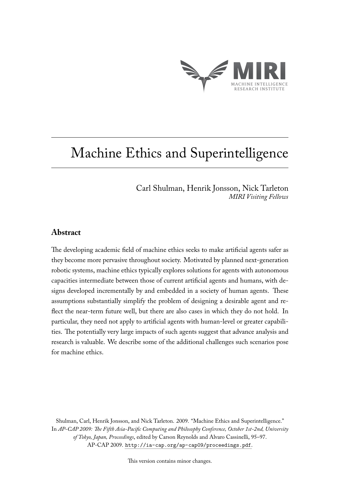

# Machine Ethics and Superintelligence

Carl Shulman, Henrik Jonsson, Nick Tarleton *MIRI Visiting Fellows*

## **Abstract**

The developing academic field of machine ethics seeks to make artificial agents safer as they become more pervasive throughout society. Motivated by planned next-generation robotic systems, machine ethics typically explores solutions for agents with autonomous capacities intermediate between those of current artificial agents and humans, with designs developed incrementally by and embedded in a society of human agents. These assumptions substantially simplify the problem of designing a desirable agent and reflect the near-term future well, but there are also cases in which they do not hold. In particular, they need not apply to artificial agents with human-level or greater capabilities. The potentially very large impacts of such agents suggest that advance analysis and research is valuable. We describe some of the additional challenges such scenarios pose for machine ethics.

Shulman, Carl, Henrik Jonsson, and Nick Tarleton. 2009. "Machine Ethics and Superintelligence." In *AP-CAP 2009: The Fifth Asia-Pacific Computing and Philosophy Conference, October 1st-2nd, University of Tokyo, Japan, Proceedings*, edited by Carson Reynolds and Alvaro Cassinelli, 95–97. AP-CAP 2009. <http://ia-cap.org/ap-cap09/proceedings.pdf>.

This version contains minor changes.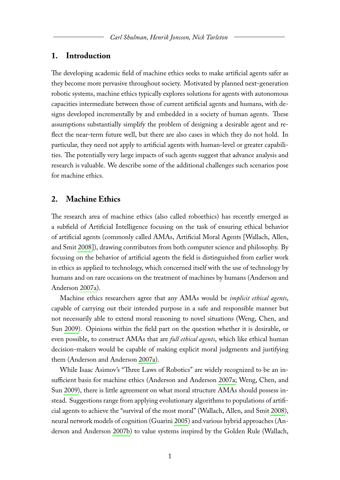#### **1. Introduction**

The developing academic field of machine ethics seeks to make artificial agents safer as they become more pervasive throughout society. Motivated by planned next-generation robotic systems, machine ethics typically explores solutions for agents with autonomous capacities intermediate between those of current artificial agents and humans, with designs developed incrementally by and embedded in a society of human agents. These assumptions substantially simplify the problem of designing a desirable agent and reflect the near-term future well, but there are also cases in which they do not hold. In particular, they need not apply to artificial agents with human-level or greater capabilities. The potentially very large impacts of such agents suggest that advance analysis and research is valuable. We describe some of the additional challenges such scenarios pose for machine ethics.

#### **2. Machine Ethics**

The research area of machine ethics (also called roboethics) has recently emerged as a subfield of Artificial Intelligence focusing on the task of ensuring ethical behavior of artificial agents (commonly called AMAs, Artificial Moral Agents [Wallach, Allen, and Smit [2008\]](#page-6-0)), drawing contributors from both computer science and philosophy. By focusing on the behavior of artificial agents the field is distinguished from earlier work in ethics as applied to technology, which concerned itself with the use of technology by humans and on rare occasions on the treatment of machines by humans (Anderson and Anderson [2007a\)](#page-5-0).

Machine ethics researchers agree that any AMAs would be *implicit ethical agents*, capable of carrying out their intended purpose in a safe and responsible manner but not necessarily able to extend moral reasoning to novel situations (Weng, Chen, and Sun [2009\)](#page-6-1). Opinions within the field part on the question whether it is desirable, or even possible, to construct AMAs that are *full ethical agents*, which like ethical human decision-makers would be capable of making explicit moral judgments and justifying them (Anderson and Anderson [2007a\)](#page-5-0).

While Isaac Asimov's "Three Laws of Robotics" are widely recognized to be an insufficient basis for machine ethics (Anderson and Anderson [2007a;](#page-5-0) Weng, Chen, and Sun [2009\)](#page-6-1), there is little agreement on what moral structure AMAs should possess instead. Suggestions range from applying evolutionary algorithms to populations of artificial agents to achieve the "survival of the most moral" (Wallach, Allen, and Smit [2008\)](#page-6-0), neural network models of cognition (Guarini [2005\)](#page-5-1) and various hybrid approaches (Anderson and Anderson [2007b\)](#page-5-2) to value systems inspired by the Golden Rule (Wallach,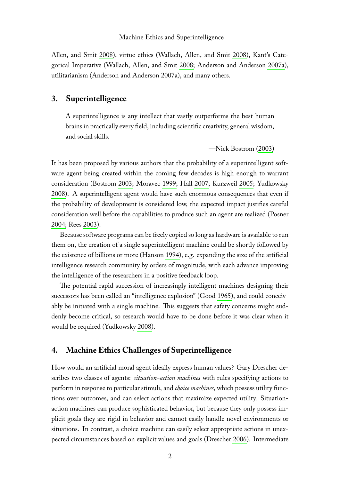Allen, and Smit [2008\)](#page-6-0), virtue ethics (Wallach, Allen, and Smit [2008\)](#page-6-0), Kant's Categorical Imperative (Wallach, Allen, and Smit [2008;](#page-6-0) Anderson and Anderson [2007a\)](#page-5-0), utilitarianism (Anderson and Anderson [2007a\)](#page-5-0), and many others.

### **3. Superintelligence**

A superintelligence is any intellect that vastly outperforms the best human brains in practically every field, including scientific creativity, general wisdom, and social skills.

—Nick Bostrom [\(2003\)](#page-5-3)

It has been proposed by various authors that the probability of a superintelligent software agent being created within the coming few decades is high enough to warrant consideration (Bostrom [2003;](#page-5-3) Moravec [1999;](#page-5-4) Hall [2007;](#page-5-5) Kurzweil [2005;](#page-5-6) Yudkowsky [2008\)](#page-6-2). A superintelligent agent would have such enormous consequences that even if the probability of development is considered low, the expected impact justifies careful consideration well before the capabilities to produce such an agent are realized (Posner [2004;](#page-5-7) Rees [2003\)](#page-5-8).

Because software programs can be freely copied so long as hardware is available to run them on, the creation of a single superintelligent machine could be shortly followed by the existence of billions or more (Hanson [1994\)](#page-5-9), e.g. expanding the size of the artificial intelligence research community by orders of magnitude, with each advance improving the intelligence of the researchers in a positive feedback loop.

The potential rapid succession of increasingly intelligent machines designing their successors has been called an "intelligence explosion" (Good [1965\)](#page-5-10), and could conceivably be initiated with a single machine. This suggests that safety concerns might suddenly become critical, so research would have to be done before it was clear when it would be required (Yudkowsky [2008\)](#page-6-2).

#### **4. Machine Ethics Challenges of Superintelligence**

How would an artificial moral agent ideally express human values? Gary Drescher describes two classes of agents: *situation-action machines* with rules specifying actions to perform in response to particular stimuli, and *choice machines*, which possess utility functions over outcomes, and can select actions that maximize expected utility. Situationaction machines can produce sophisticated behavior, but because they only possess implicit goals they are rigid in behavior and cannot easily handle novel environments or situations. In contrast, a choice machine can easily select appropriate actions in unexpected circumstances based on explicit values and goals (Drescher [2006\)](#page-5-11). Intermediate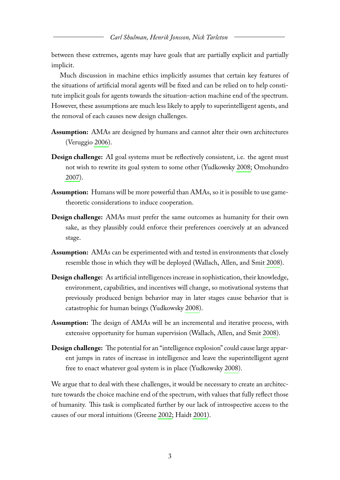between these extremes, agents may have goals that are partially explicit and partially implicit.

Much discussion in machine ethics implicitly assumes that certain key features of the situations of artificial moral agents will be fixed and can be relied on to help constitute implicit goals for agents towards the situation-action machine end of the spectrum. However, these assumptions are much less likely to apply to superintelligent agents, and the removal of each causes new design challenges.

- **Assumption:** AMAs are designed by humans and cannot alter their own architectures (Veruggio [2006\)](#page-5-12).
- **Design challenge:** AI goal systems must be reflectively consistent, i.e. the agent must not wish to rewrite its goal system to some other (Yudkowsky [2008;](#page-6-2) Omohundro [2007\)](#page-5-13).
- **Assumption:** Humans will be more powerful than AMAs, so it is possible to use gametheoretic considerations to induce cooperation.
- **Design challenge:** AMAs must prefer the same outcomes as humanity for their own sake, as they plausibly could enforce their preferences coercively at an advanced stage.
- **Assumption:** AMAs can be experimented with and tested in environments that closely resemble those in which they will be deployed (Wallach, Allen, and Smit [2008\)](#page-6-0).
- **Design challenge:** As artificial intelligences increase in sophistication, their knowledge, environment, capabilities, and incentives will change, so motivational systems that previously produced benign behavior may in later stages cause behavior that is catastrophic for human beings (Yudkowsky [2008\)](#page-6-2).
- **Assumption:** The design of AMAs will be an incremental and iterative process, with extensive opportunity for human supervision (Wallach, Allen, and Smit [2008\)](#page-6-0).
- **Design challenge:** The potential for an "intelligence explosion" could cause large apparent jumps in rates of increase in intelligence and leave the superintelligent agent free to enact whatever goal system is in place (Yudkowsky [2008\)](#page-6-2).

We argue that to deal with these challenges, it would be necessary to create an architecture towards the choice machine end of the spectrum, with values that fully reflect those of humanity. This task is complicated further by our lack of introspective access to the causes of our moral intuitions (Greene [2002;](#page-5-14) Haidt [2001\)](#page-5-15).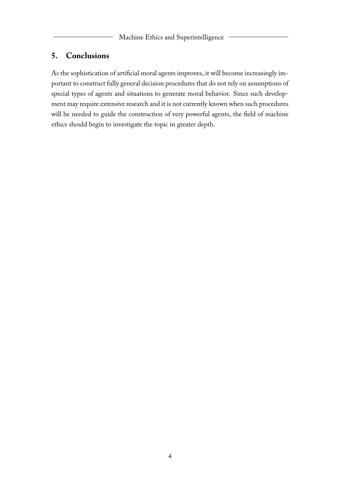## **5. Conclusions**

As the sophistication of artificial moral agents improves, it will become increasingly important to construct fully general decision procedures that do not rely on assumptions of special types of agents and situations to generate moral behavior. Since such development may require extensive research and it is not currently known when such procedures will be needed to guide the construction of very powerful agents, the field of machine ethics should begin to investigate the topic in greater depth.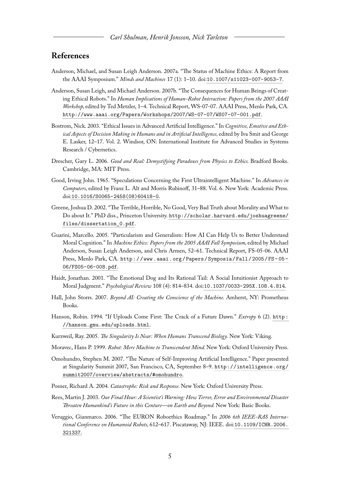## **References**

- <span id="page-5-0"></span>Anderson, Michael, and Susan Leigh Anderson. 2007a. "The Status of Machine Ethics: A Report from the AAAI Symposium." *Minds and Machines* 17 (1): 1–10. doi:[10.1007/s11023-007-9053-7](http://dx.doi.org/10.1007/s11023-007-9053-7).
- <span id="page-5-2"></span>Anderson, Susan Leigh, and Michael Anderson. 2007b. "The Consequences for Human Beings of Creating Ethical Robots." In *Human Implications of Human-Robot Interaction: Papers from the 2007 AAAI Workshop,* edited by Ted Metzler, 1–4. Technical Report, WS-07-07. AAAI Press, Menlo Park, CA. <http://www.aaai.org/Papers/Workshops/2007/WS-07-07/WS07-07-001.pdf>.
- <span id="page-5-3"></span>Bostrom, Nick. 2003. "Ethical Issues in Advanced Artificial Intelligence." In *Cognitive, Emotive and Ethical Aspects of Decision Making in Humans and in Artificial Intelligence,* edited by Iva Smit and George E. Lasker, 12–17. Vol. 2. Windsor, ON: International Institute for Advanced Studies in Systems Research / Cybernetics.
- <span id="page-5-11"></span>Drescher, Gary L. 2006. *Good and Real: Demystifying Paradoxes from Physics to Ethics.* Bradford Books. Cambridge, MA: MIT Press.
- <span id="page-5-10"></span>Good, Irving John. 1965. "Speculations Concerning the First Ultraintelligent Machine." In *Advances in Computers,* edited by Franz L. Alt and Morris Rubinoff, 31–88. Vol. 6. New York: Academic Press. doi:[10.1016/S0065-2458\(08\)60418-0](http://dx.doi.org/10.1016/S0065-2458(08)60418-0).
- <span id="page-5-14"></span>Greene, Joshua D. 2002. "The Terrible, Horrible, No Good, Very Bad Truth about Morality and What to Do about It." PhD diss., Princeton University. [http://scholar.harvard.edu/joshuagreene/](http://scholar.harvard.edu/joshuagreene/files/dissertation_0.pdf) [files/dissertation\\_0.pdf](http://scholar.harvard.edu/joshuagreene/files/dissertation_0.pdf).
- <span id="page-5-1"></span>Guarini, Marcello. 2005. "Particularism and Generalism: How AI Can Help Us to Better Understand Moral Cognition." In *Machine Ethics: Papers from the 2005 AAAI Fall Symposium,* edited by Michael Anderson, Susan Leigh Anderson, and Chris Armen, 52–61. Technical Report, FS-05-06. AAAI Press, Menlo Park, CA. [http://www.aaai.org/Papers/Symposia/Fall/2005/FS- 05-](http://www.aaai.org/Papers/Symposia/Fall/2005/FS-05-06/FS05-06-008.pdf) [06/FS05-06-008.pdf](http://www.aaai.org/Papers/Symposia/Fall/2005/FS-05-06/FS05-06-008.pdf).
- <span id="page-5-15"></span>Haidt, Jonathan. 2001. "The Emotional Dog and Its Rational Tail: A Social Intuitionist Approach to Moral Judgment." *Psychological Review* 108 (4): 814–834. doi:[10.1037/0033-295X.108.4.814](http://dx.doi.org/10.1037/0033-295X.108.4.814).
- <span id="page-5-5"></span>Hall, John Storrs. 2007. *Beyond AI: Creating the Conscience of the Machine.* Amherst, NY: Prometheus Books.
- <span id="page-5-9"></span>Hanson, Robin. 1994. "If Uploads Come First: The Crack of a Future Dawn." *Extropy* 6 (2). [http :](http://hanson.gmu.edu/uploads.html) [//hanson.gmu.edu/uploads.html](http://hanson.gmu.edu/uploads.html).
- <span id="page-5-6"></span>Kurzweil, Ray. 2005. *The Singularity Is Near: When Humans Transcend Biology.* New York: Viking.
- <span id="page-5-4"></span>Moravec, Hans P. 1999. *Robot: Mere Machine to Transcendent Mind.* New York: Oxford University Press.
- <span id="page-5-13"></span>Omohundro, Stephen M. 2007. "The Nature of Self-Improving Artificial Intelligence." Paper presented at Singularity Summit 2007, San Francisco, CA, September 8–9. [http://intelligence.org/](http://intelligence.org/summit2007/overview/abstracts/#omohundro) [summit2007/overview/abstracts/#omohundro](http://intelligence.org/summit2007/overview/abstracts/#omohundro).
- <span id="page-5-7"></span>Posner, Richard A. 2004. *Catastrophe: Risk and Response.* New York: Oxford University Press.
- <span id="page-5-8"></span>Rees, Martin J. 2003. *Our Final Hour: A Scientist's Warning: How Terror, Error and Environmental Disaster Threaten Humankind's Future in this Centure—on Earth and Beyond.* New York: Basic Books.
- <span id="page-5-12"></span>Veruggio, Gianmarco. 2006. "The EURON Roboethics Roadmap." In *2006 6th IEEE-RAS International Conference on Humanoid Robots,* 612–617. Piscataway, NJ: IEEE. doi:[10.1109/ICHR.2006.](http://dx.doi.org/10.1109/ICHR.2006.321337) [321337](http://dx.doi.org/10.1109/ICHR.2006.321337).